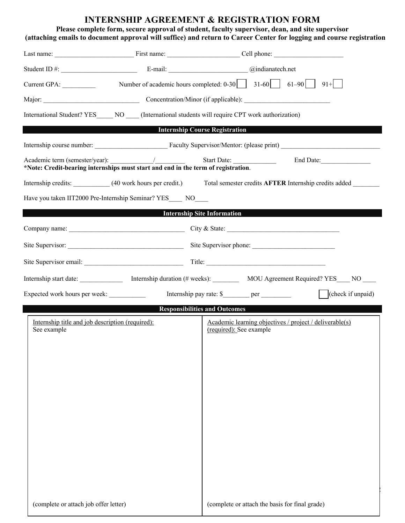# **INTERNSHIP AGREEMENT & REGISTRATION FORM**

## **Please complete form, secure approval of student, faculty supervisor, dean, and site supervisor (attaching emails to document approval will suffice) and return to Career Center for logging and course registration**

| Student ID #: Communication E-mail: Communication Communication Communication Communication Communication Communication Communication Communication Communication Communication Communication Communication Communication Comm |  |                                                                  |                                                                                                       |  |  |  |
|--------------------------------------------------------------------------------------------------------------------------------------------------------------------------------------------------------------------------------|--|------------------------------------------------------------------|-------------------------------------------------------------------------------------------------------|--|--|--|
| Current GPA:                                                                                                                                                                                                                   |  | Number of academic hours completed: $0-30$   31-60   61-90   91+ |                                                                                                       |  |  |  |
|                                                                                                                                                                                                                                |  |                                                                  |                                                                                                       |  |  |  |
| International Student? YES NO (International students will require CPT work authorization)                                                                                                                                     |  |                                                                  |                                                                                                       |  |  |  |
|                                                                                                                                                                                                                                |  | <b>Example 2018 Internship Course Registration</b>               |                                                                                                       |  |  |  |
|                                                                                                                                                                                                                                |  |                                                                  |                                                                                                       |  |  |  |
| *Note: Credit-bearing internships must start and end in the term of registration.                                                                                                                                              |  |                                                                  | End Date:                                                                                             |  |  |  |
|                                                                                                                                                                                                                                |  |                                                                  | Internship credits: (40 work hours per credit.) Total semester credits AFTER Internship credits added |  |  |  |
| Have you taken IIT2000 Pre-Internship Seminar? YES NO                                                                                                                                                                          |  |                                                                  |                                                                                                       |  |  |  |
|                                                                                                                                                                                                                                |  | <b>Internship Site Information</b>                               |                                                                                                       |  |  |  |
|                                                                                                                                                                                                                                |  |                                                                  |                                                                                                       |  |  |  |
|                                                                                                                                                                                                                                |  |                                                                  |                                                                                                       |  |  |  |
|                                                                                                                                                                                                                                |  |                                                                  |                                                                                                       |  |  |  |
|                                                                                                                                                                                                                                |  |                                                                  | Internship start date: Internship duration (# weeks): MOU Agreement Required? YES___ NO___            |  |  |  |
| Expected work hours per week:                                                                                                                                                                                                  |  |                                                                  | $\left  \right $ (check if unpaid)                                                                    |  |  |  |
|                                                                                                                                                                                                                                |  | <b>Responsibilities and Outcomes</b>                             |                                                                                                       |  |  |  |
| Internship title and job description (required):<br>See example                                                                                                                                                                |  | (required): See example                                          | Academic learning objectives / project / deliverable(s)                                               |  |  |  |
| (complete or attach job offer letter)                                                                                                                                                                                          |  | (complete or attach the basis for final grade)                   |                                                                                                       |  |  |  |